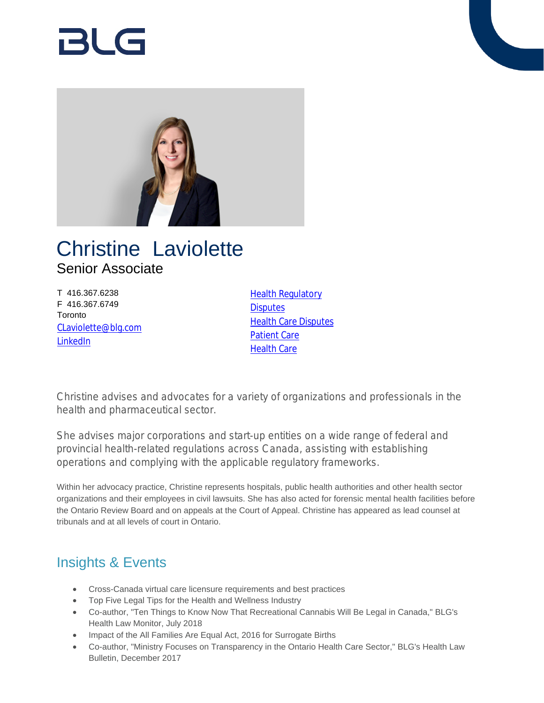# RI G



## Christine Laviolette Senior Associate

T 416.367.6238 F 416.367.6749 **Toronto** [CLaviolette@blg.com](mailto:CLaviolette@blg.com) [LinkedIn](https://linkedin.com/in/christine-laviolette)

[Health Regulatory](https://www.blg.com/en/services/practice-areas/health-care/health-regulatory) **[Disputes](https://www.blg.com/en/services/practice-areas/disputes) [Health Care Disputes](https://www.blg.com/en/services/practice-areas/disputes/health-care-disputes)** [Patient Care](https://www.blg.com/en/services/practice-areas/health-care/patient-care) [Health Care](https://www.blg.com/en/services/practice-areas/health-care)

Christine advises and advocates for a variety of organizations and professionals in the health and pharmaceutical sector.

She advises major corporations and start-up entities on a wide range of federal and provincial health-related regulations across Canada, assisting with establishing operations and complying with the applicable regulatory frameworks.

Within her advocacy practice, Christine represents hospitals, public health authorities and other health sector organizations and their employees in civil lawsuits. She has also acted for forensic mental health facilities before the Ontario Review Board and on appeals at the Court of Appeal. Christine has appeared as lead counsel at tribunals and at all levels of court in Ontario.

## Insights & Events

- Cross-Canada virtual care licensure requirements and best practices
- Top Five Legal Tips for the Health and Wellness Industry
- Co-author, "Ten Things to Know Now That Recreational Cannabis Will Be Legal in Canada," BLG's Health Law Monitor, July 2018
- Impact of the All Families Are Equal Act, 2016 for Surrogate Births
- Co-author, "Ministry Focuses on Transparency in the Ontario Health Care Sector," BLG's Health Law Bulletin, December 2017